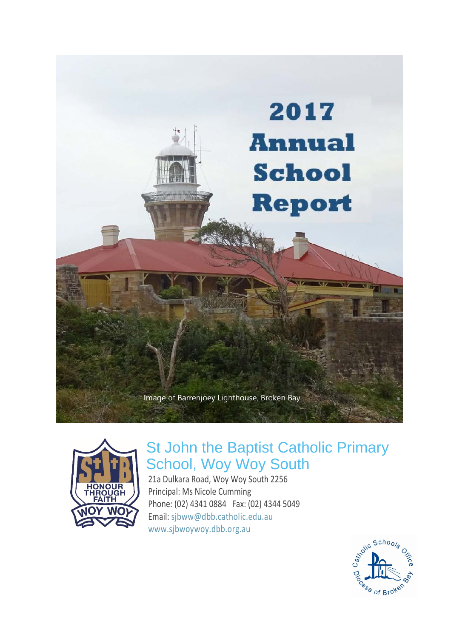



# St John the Baptist Catholic Primary School, Woy Woy South

21a Dulkara Road, Woy Woy South 2256 Principal: Ms Nicole Cumming Phone: (02) 4341 0884 Fax: (02) 4344 5049 Email: [sjbww@dbb.catholic.edu.au](mailto:%20sjbww@dbb.catholic.edu.au) [www.sjbwoywoy.dbb.org.au](http://www.sjbwoywoy.dbb.org.au/)

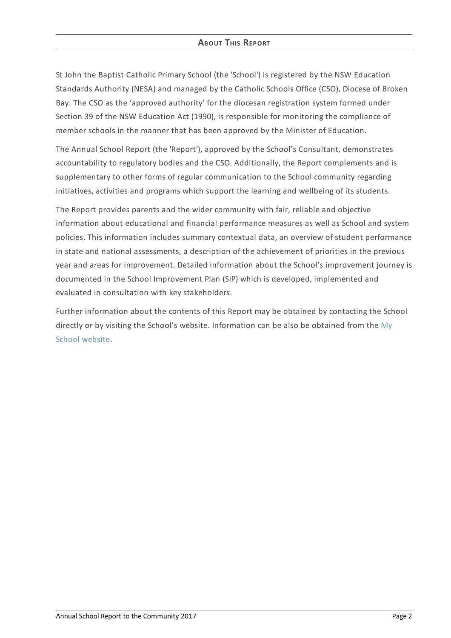# **ABOUT THIS REPORT**

St John the Baptist Catholic Primary School (the 'School') is registered by the NSW Education Standards Authority (NESA) and managed by the Catholic Schools Office (CSO), Diocese of Broken Bay. The CSO as the 'approved authority' for the diocesan registration system formed under Section 39 of the NSW Education Act (1990), is responsible for monitoring the compliance of member schools in the manner that has been approved by the Minister of Education.

The Annual School Report (the 'Report'), approved by the School's Consultant, demonstrates accountability to regulatory bodies and the CSO. Additionally, the Report complements and is supplementary to other forms of regular communication to the School community regarding initiatives, activities and programs which support the learning and wellbeing of its students.

The Report provides parents and the wider community with fair, reliable and objective information about educational and financial performance measures as well as School and system policies. This information includes summary contextual data, an overview of student performance in state and national assessments, a description of the achievement of priorities in the previous year and areas for improvement. Detailed information about the School's improvement journey is documented in the School Improvement Plan (SIP) which is developed, implemented and evaluated in consultation with key stakeholders.

Further information about the contents of this Report may be obtained by contacting the School directly or by visiting the School's website. [Information](http://www.myschool.edu.au/) can be also be obtained from the My School website.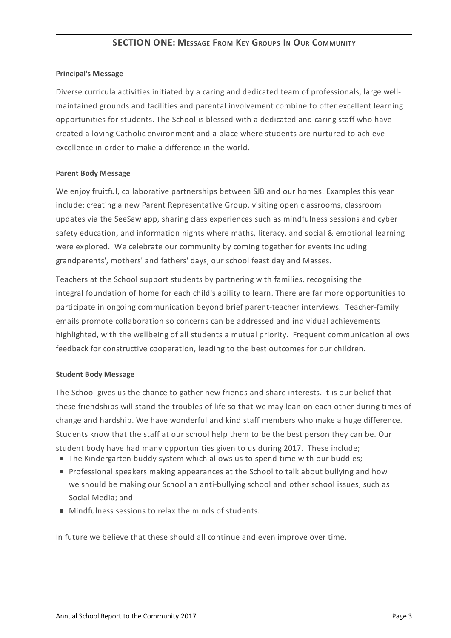### **Principal's Message**

Diverse curricula activities initiated by a caring and dedicated team of professionals, large wellmaintained grounds and facilities and parental involvement combine to offer excellent learning opportunities for students. The School is blessed with a dedicated and caring staff who have created a loving Catholic environment and a place where students are nurtured to achieve excellence in order to make a difference in the world.

#### **Parent Body Message**

We enjoy fruitful, collaborative partnerships between SJB and our homes. Examples this year include: creating a new Parent Representative Group, visiting open classrooms, classroom updates via the SeeSaw app, sharing class experiences such as mindfulness sessions and cyber safety education, and information nights where maths, literacy, and social & emotional learning were explored. We celebrate our community by coming together for events including grandparents', mothers' and fathers' days, our school feast day and Masses.

Teachers at the School support students by partnering with families, recognising the integral foundation of home for each child's ability to learn. There are far more opportunities to participate in ongoing communication beyond brief parent-teacher interviews. Teacher-family emails promote collaboration so concerns can be addressed and individual achievements highlighted, with the wellbeing of all students a mutual priority. Frequent communication allows feedback for constructive cooperation, leading to the best outcomes for our children.

# **Student Body Message**

The School gives us the chance to gather new friends and share interests. It is our belief that these friendships will stand the troubles of life so that we may lean on each other during times of change and hardship. We have wonderful and kind staff members who make a huge difference. Students know that the staff at our school help them to be the best person they can be. Our student body have had many opportunities given to us during 2017. These include;

- The Kindergarten buddy system which allows us to spend time with our buddies;
- Professional speakers making appearances at the School to talk about bullying and how we should be making our School an anti-bullying school and other school issues, such as Social Media; and
- **Mindfulness sessions to relax the minds of students.**

In future we believe that these should all continue and even improve over time.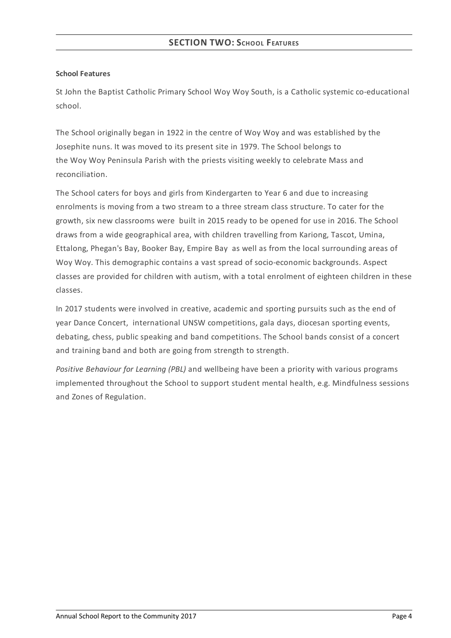# **School Features**

St John the Baptist Catholic Primary School Woy Woy South, is a Catholic systemic co-educational school.

The School originally began in 1922 in the centre of Woy Woy and was established by the Josephite nuns. It was moved to its present site in 1979. The School belongs to the Woy Woy Peninsula Parish with the priests visiting weekly to celebrate Mass and reconciliation.

The School caters for boys and girls from Kindergarten to Year 6 and due to increasing enrolments is moving from a two stream to a three stream class structure. To cater for the growth, six new classrooms were built in 2015 ready to be opened for use in 2016. The School draws from a wide geographical area, with children travelling from Kariong, Tascot, Umina, Ettalong, Phegan's Bay, Booker Bay, Empire Bay as well as from the local surrounding areas of Woy Woy. This demographic contains a vast spread of socio-economic backgrounds. Aspect classes are provided for children with autism, with a total enrolment of eighteen children in these classes.

In 2017 students were involved in creative, academic and sporting pursuits such as the end of year Dance Concert, international UNSW competitions, gala days, diocesan sporting events, debating, chess, public speaking and band competitions. The School bands consist of a concert and training band and both are going from strength to strength.

*Positive Behaviour for Learning (PBL)* and wellbeing have been a priority with various programs implemented throughout the School to support student mental health, e.g. Mindfulness sessions and Zones of Regulation.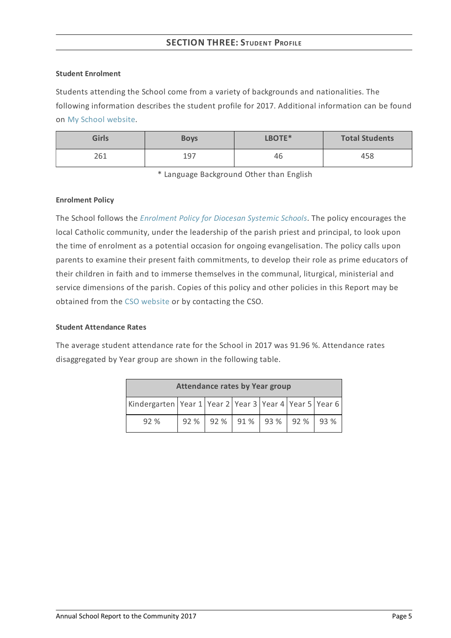# **SECTION THREE: STUDENT PROFILE**

#### **Student Enrolment**

Students attending the School come from a variety of backgrounds and nationalities. The following information describes the student profile for 2017. Additional information can be found on My School [website](http://www.myschool.edu.au/).

| <b>Girls</b> | <b>Boys</b> | LBOTE* | <b>Total Students</b> |
|--------------|-------------|--------|-----------------------|
| 261          | 197         | 46     | 458                   |

\* Language Background Other than English

#### **Enrolment Policy**

The School follows the *[Enrolment](https://www.csodbb.catholic.edu.au/about/dsp-collection.cfm?loadref=125) Policy for Diocesan Systemic Schools*. The policy encourages the local Catholic community, under the leadership of the parish priest and principal, to look upon the time of enrolment as a potential occasion for ongoing evangelisation. The policy calls upon parents to examine their present faith commitments, to develop their role as prime educators of their children in faith and to immerse themselves in the communal, liturgical, ministerial and service dimensions of the parish. Copies of this policy and other policies in this Report may be obtained from the CSO [website](https://www.csodbb.catholic.edu.au/index.cfm) or by contacting the CSO.

# **Student Attendance Rates**

The average student attendance rate for the School in 2017 was 91.96 %. Attendance rates disaggregated by Year group are shown in the following table.

| <b>Attendance rates by Year group</b>                              |      |  |                     |  |      |
|--------------------------------------------------------------------|------|--|---------------------|--|------|
| Kindergarten   Year 1   Year 2   Year 3   Year 4   Year 5   Year 6 |      |  |                     |  |      |
| 92%                                                                | 92 % |  | 92 % 91 % 93 % 92 % |  | 193% |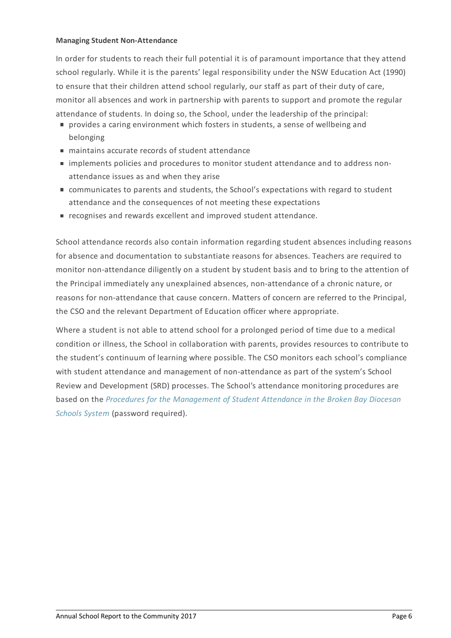#### **Managing Student Non-Attendance**

In order for students to reach their full potential it is of paramount importance that they attend school regularly. While it is the parents' legal responsibility under the NSW Education Act (1990) to ensure that their children attend school regularly, our staff as part of their duty of care, monitor all absences and work in partnership with parents to support and promote the regular attendance of students. In doing so, the School, under the leadership of the principal:

- provides a caring environment which fosters in students, a sense of wellbeing and belonging
- maintains accurate records of student attendance
- implements policies and procedures to monitor student attendance and to address nonattendance issues as and when they arise
- communicates to parents and students, the School's expectations with regard to student attendance and the consequences of not meeting these expectations
- e recognises and rewards excellent and improved student attendance.

School attendance records also contain information regarding student absences including reasons for absence and documentation to substantiate reasons for absences. Teachers are required to monitor non-attendance diligently on a student by student basis and to bring to the attention of the Principal immediately any unexplained absences, non-attendance of a chronic nature, or reasons for non-attendance that cause concern. Matters of concern are referred to the Principal, the CSO and the relevant Department of Education officer where appropriate.

Where a student is not able to attend school for a prolonged period of time due to a medical condition or illness, the School in collaboration with parents, provides resources to contribute to the student's continuum of learning where possible. The CSO monitors each school's compliance with student attendance and management of non-attendance as part of the system's School Review and Development (SRD) processes. The School's attendance monitoring procedures are based on the *Procedures for the [Management](http://srd.dbbcso.org/attendance--enrolment.html) of Student Attendance in the Broken Bay Diocesan Schools System* (password required).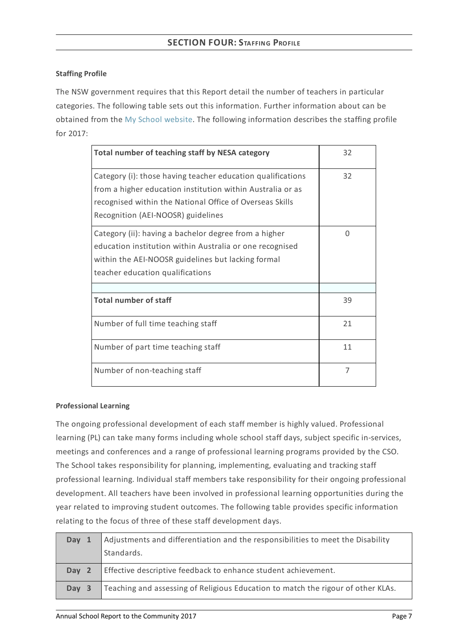# **Staffing Profile**

The NSW government requires that this Report detail the number of teachers in particular categories. The following table sets out this information. Further information about can be obtained from the My School [website](http://www.myschool.edu.au/). The following information describes the staffing profile for 2017:

| Total number of teaching staff by NESA category                                                                                                                                                                             | 32       |
|-----------------------------------------------------------------------------------------------------------------------------------------------------------------------------------------------------------------------------|----------|
| Category (i): those having teacher education qualifications<br>from a higher education institution within Australia or as<br>recognised within the National Office of Overseas Skills<br>Recognition (AEI-NOOSR) guidelines | 32       |
| Category (ii): having a bachelor degree from a higher<br>education institution within Australia or one recognised<br>within the AEI-NOOSR guidelines but lacking formal<br>teacher education qualifications                 | $\Omega$ |
| <b>Total number of staff</b>                                                                                                                                                                                                | 39       |
| Number of full time teaching staff                                                                                                                                                                                          | 21       |
| Number of part time teaching staff                                                                                                                                                                                          | 11       |
| Number of non-teaching staff                                                                                                                                                                                                | 7        |

# **Professional Learning**

The ongoing professional development of each staff member is highly valued. Professional learning (PL) can take many forms including whole school staff days, subject specific in-services, meetings and conferences and a range of professional learning programs provided by the CSO. The School takes responsibility for planning, implementing, evaluating and tracking staff professional learning. Individual staff members take responsibility for their ongoing professional development. All teachers have been involved in professional learning opportunities during the year related to improving student outcomes. The following table provides specific information relating to the focus of three of these staff development days.

| Day 1 | Adjustments and differentiation and the responsibilities to meet the Disability<br>Standards. |
|-------|-----------------------------------------------------------------------------------------------|
| Day 2 | Effective descriptive feedback to enhance student achievement.                                |
| Day 3 | Teaching and assessing of Religious Education to match the rigour of other KLAs.              |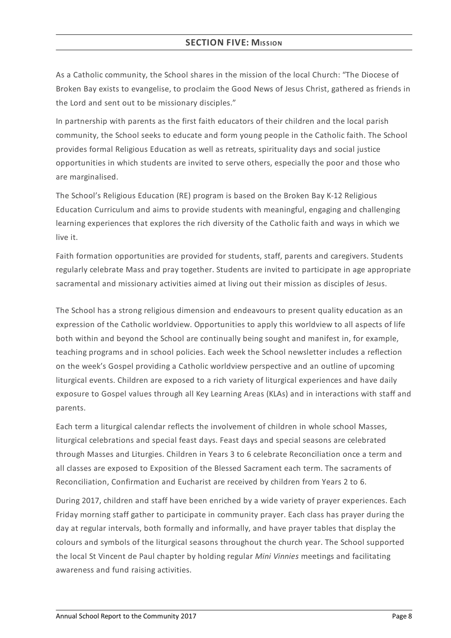# **SECTION FIVE: MISSION**

As a Catholic community, the School shares in the mission of the local Church: "The Diocese of Broken Bay exists to evangelise, to proclaim the Good News of Jesus Christ, gathered as friends in the Lord and sent out to be missionary disciples."

In partnership with parents as the first faith educators of their children and the local parish community, the School seeks to educate and form young people in the Catholic faith. The School provides formal Religious Education as well as retreats, spirituality days and social justice opportunities in which students are invited to serve others, especially the poor and those who are marginalised.

The School's Religious Education (RE) program is based on the Broken Bay K-12 Religious Education Curriculum and aims to provide students with meaningful, engaging and challenging learning experiences that explores the rich diversity of the Catholic faith and ways in which we live it.

Faith formation opportunities are provided for students, staff, parents and caregivers. Students regularly celebrate Mass and pray together. Students are invited to participate in age appropriate sacramental and missionary activities aimed at living out their mission as disciples of Jesus.

The School has a strong religious dimension and endeavours to present quality education as an expression of the Catholic worldview. Opportunities to apply this worldview to all aspects of life both within and beyond the School are continually being sought and manifest in, for example, teaching programs and in school policies. Each week the School newsletter includes a reflection on the week's Gospel providing a Catholic worldview perspective and an outline of upcoming liturgical events. Children are exposed to a rich variety of liturgical experiences and have daily exposure to Gospel values through all Key Learning Areas (KLAs) and in interactions with staff and parents.

Each term a liturgical calendar reflects the involvement of children in whole school Masses, liturgical celebrations and special feast days. Feast days and special seasons are celebrated through Masses and Liturgies. Children in Years 3 to 6 celebrate Reconciliation once a term and all classes are exposed to Exposition of the Blessed Sacrament each term. The sacraments of Reconciliation, Confirmation and Eucharist are received by children from Years 2 to 6.

During 2017, children and staff have been enriched by a wide variety of prayer experiences. Each Friday morning staff gather to participate in community prayer. Each class has prayer during the day at regular intervals, both formally and informally, and have prayer tables that display the colours and symbols of the liturgical seasons throughout the church year. The School supported the local St Vincent de Paul chapter by holding regular *Mini Vinnies* meetings and facilitating awareness and fund raising activities.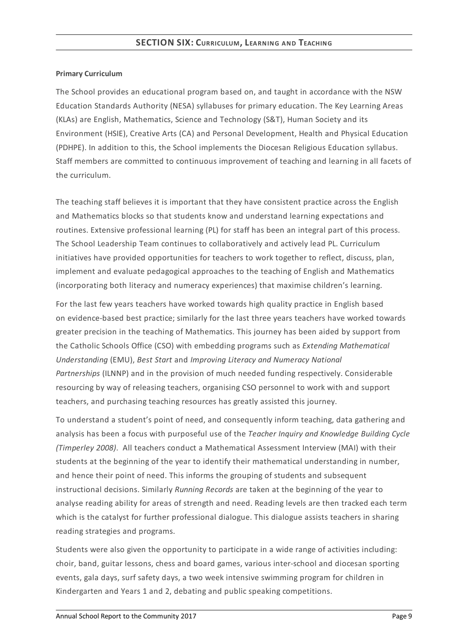# **Primary Curriculum**

The School provides an educational program based on, and taught in accordance with the NSW Education Standards Authority (NESA) syllabuses for primary education. The Key Learning Areas (KLAs) are English, Mathematics, Science and Technology (S&T), Human Society and its Environment (HSIE), Creative Arts (CA) and Personal Development, Health and Physical Education (PDHPE). In addition to this, the School implements the Diocesan Religious Education syllabus. Staff members are committed to continuous improvement of teaching and learning in all facets of the curriculum.

The teaching staff believes it is important that they have consistent practice across the English and Mathematics blocks so that students know and understand learning expectations and routines. Extensive professional learning (PL) for staff has been an integral part of this process. The School Leadership Team continues to collaboratively and actively lead PL. Curriculum initiatives have provided opportunities for teachers to work together to reflect, discuss, plan, implement and evaluate pedagogical approaches to the teaching of English and Mathematics (incorporating both literacy and numeracy experiences) that maximise children's learning.

For the last few years teachers have worked towards high quality practice in English based on evidence-based best practice; similarly for the last three years teachers have worked towards greater precision in the teaching of Mathematics. This journey has been aided by support from the Catholic Schools Office (CSO) with embedding programs such as *Extending Mathematical Understanding* (EMU), *Best Start* and *Improving Literacy and Numeracy National Partnerships* (ILNNP) and in the provision of much needed funding respectively. Considerable resourcing by way of releasing teachers, organising CSO personnel to work with and support teachers, and purchasing teaching resources has greatly assisted this journey.

To understand a student's point of need, and consequently inform teaching, data gathering and analysis has been a focus with purposeful use of the *Teacher Inquiry and Knowledge Building Cycle (Timperley 2008)*. All teachers conduct a Mathematical Assessment Interview (MAI) with their students at the beginning of the year to identify their mathematical understanding in number, and hence their point of need. This informs the grouping of students and subsequent instructional decisions. Similarly *Running Records* are taken at the beginning of the year to analyse reading ability for areas of strength and need. Reading levels are then tracked each term which is the catalyst for further professional dialogue. This dialogue assists teachers in sharing reading strategies and programs.

Students were also given the opportunity to participate in a wide range of activities including: choir, band, guitar lessons, chess and board games, various inter-school and diocesan sporting events, gala days, surf safety days, a two week intensive swimming program for children in Kindergarten and Years 1 and 2, debating and public speaking competitions.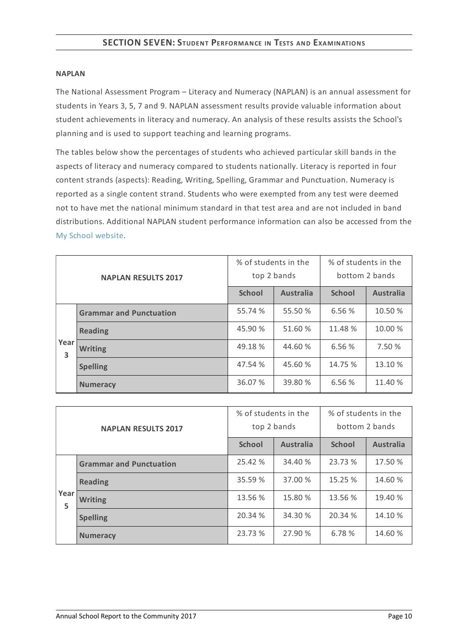#### **NAPLAN**

The National Assessment Program – Literacy and Numeracy (NAPLAN) is an annual assessment for students in Years 3, 5, 7 and 9. NAPLAN assessment results provide valuable information about student achievements in literacy and numeracy. An analysis of these results assists the School's planning and is used to support teaching and learning programs.

The tables below show the percentages of students who achieved particular skill bands in the aspects of literacy and numeracy compared to students nationally. Literacy is reported in four content strands (aspects): Reading, Writing, Spelling, Grammar and Punctuation. Numeracy is reported as a single content strand. Students who were exempted from any test were deemed not to have met the national minimum standard in that test area and are not included in band distributions. Additional NAPLAN student performance information can also be accessed from the My School [website](http://www.myschool.edu.au/).

| <b>NAPLAN RESULTS 2017</b> |                                | % of students in the<br>top 2 bands |                  | % of students in the<br>bottom 2 bands |                  |
|----------------------------|--------------------------------|-------------------------------------|------------------|----------------------------------------|------------------|
|                            |                                | <b>School</b>                       | <b>Australia</b> | <b>School</b>                          | <b>Australia</b> |
|                            | <b>Grammar and Punctuation</b> | 55.74 %                             | 55.50 %          | 6.56 %                                 | 10.50 %          |
|                            | <b>Reading</b>                 | 45.90 %                             | 51.60 %          | 11.48 %                                | 10.00 %          |
| Year<br>3                  | <b>Writing</b>                 | 49.18 %                             | 44.60 %          | 6.56%                                  | 7.50 %           |
|                            | <b>Spelling</b>                | 47.54 %                             | 45.60 %          | 14.75 %                                | 13.10 %          |
|                            | <b>Numeracy</b>                | 36.07 %                             | 39.80 %          | 6.56 %                                 | 11.40 %          |

| <b>NAPLAN RESULTS 2017</b> |                                | % of students in the<br>top 2 bands |                  | % of students in the<br>bottom 2 bands |                  |
|----------------------------|--------------------------------|-------------------------------------|------------------|----------------------------------------|------------------|
|                            |                                | <b>School</b>                       | <b>Australia</b> | <b>School</b>                          | <b>Australia</b> |
|                            | <b>Grammar and Punctuation</b> | 25.42 %                             | 34.40 %          | 23.73 %                                | 17.50 %          |
|                            | <b>Reading</b>                 | 35.59 %                             | 37.00 %          | 15.25 %                                | 14.60 %          |
| Year<br>5                  | <b>Writing</b>                 | 13.56 %                             | 15.80 %          | 13.56 %                                | 19.40 %          |
|                            | <b>Spelling</b>                | 20.34 %                             | 34.30 %          | 20.34 %                                | 14.10 %          |
|                            | <b>Numeracy</b>                | 23.73 %                             | 27.90 %          | 6.78 %                                 | 14.60 %          |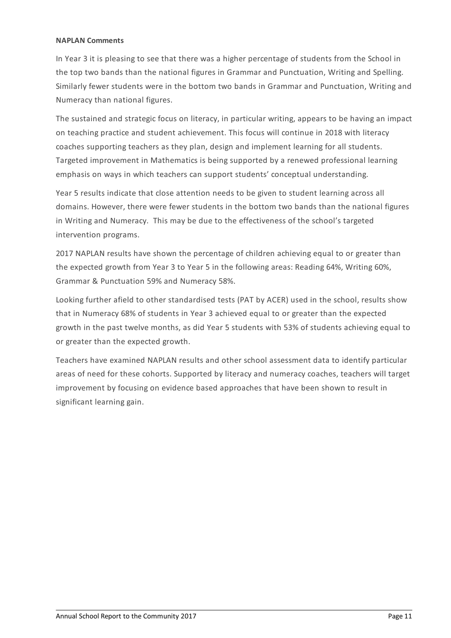#### **NAPLAN Comments**

In Year 3 it is pleasing to see that there was a higher percentage of students from the School in the top two bands than the national figures in Grammar and Punctuation, Writing and Spelling. Similarly fewer students were in the bottom two bands in Grammar and Punctuation, Writing and Numeracy than national figures.

The sustained and strategic focus on literacy, in particular writing, appears to be having an impact on teaching practice and student achievement. This focus will continue in 2018 with literacy coaches supporting teachers as they plan, design and implement learning for all students. Targeted improvement in Mathematics is being supported by a renewed professional learning emphasis on ways in which teachers can support students' conceptual understanding.

Year 5 results indicate that close attention needs to be given to student learning across all domains. However, there were fewer students in the bottom two bands than the national figures in Writing and Numeracy. This may be due to the effectiveness of the school's targeted intervention programs.

2017 NAPLAN results have shown the percentage of children achieving equal to or greater than the expected growth from Year 3 to Year 5 in the following areas: Reading 64%, Writing 60%, Grammar & Punctuation 59% and Numeracy 58%.

Looking further afield to other standardised tests (PAT by ACER) used in the school, results show that in Numeracy 68% of students in Year 3 achieved equal to or greater than the expected growth in the past twelve months, as did Year 5 students with 53% of students achieving equal to or greater than the expected growth.

Teachers have examined NAPLAN results and other school assessment data to identify particular areas of need for these cohorts. Supported by literacy and numeracy coaches, teachers will target improvement by focusing on evidence based approaches that have been shown to result in significant learning gain.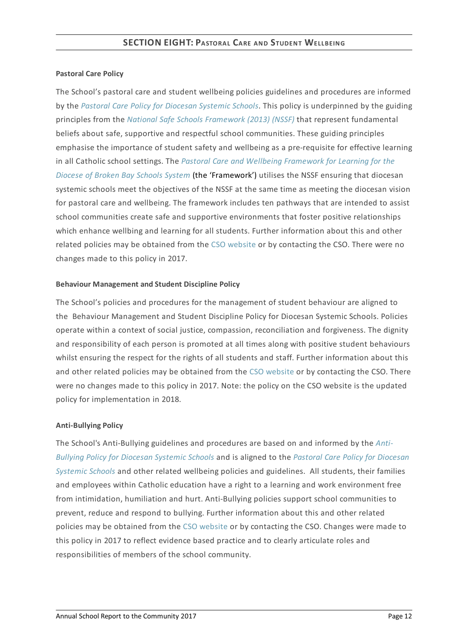# **Pastoral Care Policy**

The School's pastoral care and student wellbeing policies guidelines and procedures are informed by the *Pastoral Care Policy for [Diocesan](https://www.csodbb.catholic.edu.au/about/dsp-collection.cfm?loadref=125) Systemic Schools*. This policy is underpinned by the guiding principles from the *National Safe Schools [Framework](https://www.education.gov.au/national-safe-schools-framework-0) (2013) (NSSF)* that represent fundamental beliefs about safe, supportive and respectful school communities. These guiding principles emphasise the importance of student safety and wellbeing as a pre-requisite for effective learning in all Catholic school settings. The *Pastoral Care and Wellbeing Framework for Learning for the Diocese of Broken Bay Schools System* (the ['Framework'\)](https://www.csodbb.catholic.edu.au/studentwellbeing/dsp-default.cfm?loadref=140) utilises the NSSF ensuring that diocesan systemic schools meet the objectives of the NSSF at the same time as meeting the diocesan vision for pastoral care and wellbeing. The framework includes ten pathways that are intended to assist school communities create safe and supportive environments that foster positive relationships which enhance wellbing and learning for all students. Further information about this and other related policies may be obtained from the CSO [website](https://www.csodbb.catholic.edu.au/about/dsp-collection.cfm?loadref=125) or by contacting the CSO. There were no changes made to this policy in 2017.

# **Behaviour Management and Student Discipline Policy**

The School's policies and procedures for the management of student behaviour are aligned to the Behaviour Management and Student Discipline Policy for Diocesan Systemic Schools. Policies operate within a context of social justice, compassion, reconciliation and forgiveness. The dignity and responsibility of each person is promoted at all times along with positive student behaviours whilst ensuring the respect for the rights of all students and staff. Further information about this and other related policies may be obtained from the CSO [website](https://www.csodbb.catholic.edu.au/about/dsp-collection.cfm?loadref=125) or by contacting the CSO. There were no changes made to this policy in 2017. Note: the policy on the CSO website is the updated policy for implementation in 2018.

# **Anti-Bullying Policy**

The School's [Anti-Bullying](https://www.csodbb.catholic.edu.au/about/dsp-collection.cfm?loadref=125) guidelines and procedures are based on and informed by the *Anti-Bullying Policy for Diocesan Systemic Schools* and is aligned to the *Pastoral Care Policy for Diocesan Systemic Schools* and other related wellbeing policies and [guidelines.](https://www.csodbb.catholic.edu.au/about/dsp-collection.cfm?loadref=125) All students, their families and employees within Catholic education have a right to a learning and work environment free from intimidation, humiliation and hurt. Anti-Bullying policies support school communities to prevent, reduce and respond to bullying. Further information about this and other related policies may be obtained from the CSO [website](https://www.csodbb.catholic.edu.au/about/dsp-collection.cfm?loadref=125) or by contacting the CSO. Changes were made to this policy in 2017 to reflect evidence based practice and to clearly articulate roles and responsibilities of members of the school community.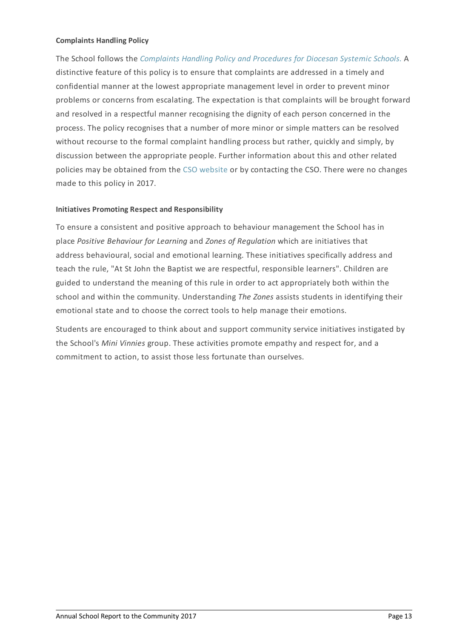### **Complaints Handling Policy**

The School follows the *[Complaints](https://www.csodbb.catholic.edu.au/about/dsp-collection.cfm?loadref=125) Handling Policy and Procedures for Diocesan Systemic Schools.* A distinctive feature of this policy is to ensure that complaints are addressed in a timely and confidential manner at the lowest appropriate management level in order to prevent minor problems or concerns from escalating. The expectation is that complaints will be brought forward and resolved in a respectful manner recognising the dignity of each person concerned in the process. The policy recognises that a number of more minor or simple matters can be resolved without recourse to the formal complaint handling process but rather, quickly and simply, by discussion between the appropriate people. Further information about this and other related policies may be obtained from the CSO [website](https://www.csodbb.catholic.edu.au/about/dsp-collection.cfm?loadref=125) or by contacting the CSO. There were no changes made to this policy in 2017.

# **Initiatives Promoting Respect and Responsibility**

To ensure a consistent and positive approach to behaviour management the School has in place *Positive Behaviour for Learning* and *Zones of Regulation* which are initiatives that address behavioural, social and emotional learning. These initiatives specifically address and teach the rule, "At St John the Baptist we are respectful, responsible learners". Children are guided to understand the meaning of this rule in order to act appropriately both within the school and within the community. Understanding *The Zones* assists students in identifying their emotional state and to choose the correct tools to help manage their emotions.

Students are encouraged to think about and support community service initiatives instigated by the School's *Mini Vinnies* group. These activities promote empathy and respect for, and a commitment to action, to assist those less fortunate than ourselves.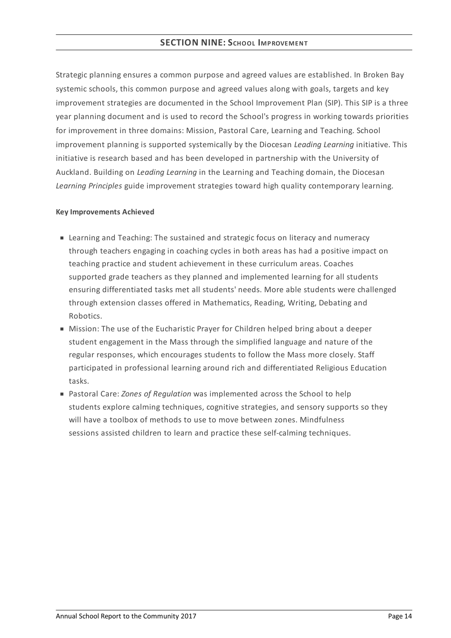Strategic planning ensures a common purpose and agreed values are established. In Broken Bay systemic schools, this common purpose and agreed values along with goals, targets and key improvement strategies are documented in the School Improvement Plan (SIP). This SIP is a three year planning document and is used to record the School's progress in working towards priorities for improvement in three domains: Mission, Pastoral Care, Learning and Teaching. School improvement planning is supported systemically by the Diocesan *Leading Learning* initiative. This initiative is research based and has been developed in partnership with the University of Auckland. Building on *Leading Learning* in the Learning and Teaching domain, the Diocesan *Learning Principles* guide improvement strategies toward high quality contemporary learning.

#### **KeyImprovements Achieved**

- Learning and Teaching: The sustained and strategic focus on literacy and numeracy through teachers engaging in coaching cycles in both areas has had a positive impact on teaching practice and student achievement in these curriculum areas. Coaches supported grade teachers as they planned and implemented learning for all students ensuring differentiated tasks met all students' needs. More able students were challenged through extension classes offered in Mathematics, Reading, Writing, Debating and Robotics.
- Mission: The use of the Eucharistic Prayer for Children helped bring about a deeper student engagement in the Mass through the simplified language and nature of the regular responses, which encourages students to follow the Mass more closely. Staff participated in professional learning around rich and differentiated Religious Education tasks.
- Pastoral Care: *Zones of Regulation* was implemented across the School to help students explore calming techniques, cognitive strategies, and sensory supports so they will have a toolbox of methods to use to move between zones. Mindfulness sessions assisted children to learn and practice these self-calming techniques.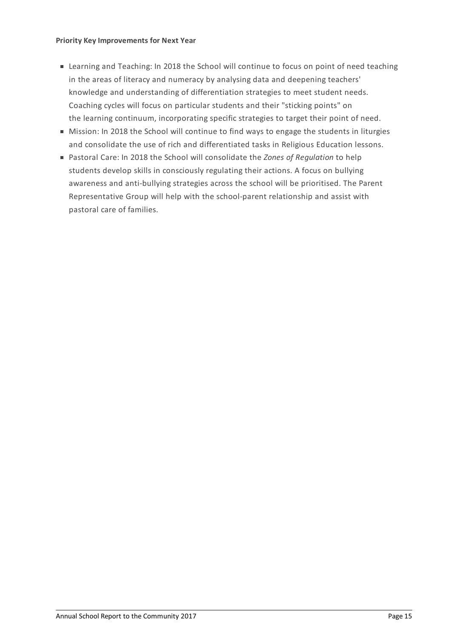#### **Priority KeyImprovements for Next Year**

- Learning and Teaching: In 2018 the School will continue to focus on point of need teaching in the areas of literacy and numeracy by analysing data and deepening teachers' knowledge and understanding of differentiation strategies to meet student needs. Coaching cycles will focus on particular students and their "sticking points" on the learning continuum, incorporating specific strategies to target their point of need.
- $\blacksquare$  Mission: In 2018 the School will continue to find ways to engage the students in liturgies and consolidate the use of rich and differentiated tasks in Religious Education lessons.
- Pastoral Care: In 2018 the School will consolidate the *Zones of Regulation* to help students develop skills in consciously regulating their actions. A focus on bullying awareness and anti-bullying strategies across the school will be prioritised. The Parent Representative Group will help with the school-parent relationship and assist with pastoral care of families.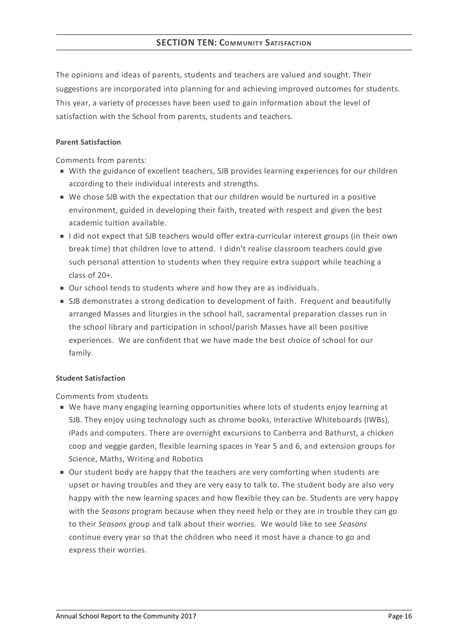The opinions and ideas of parents, students and teachers are valued and sought. Their suggestions are incorporated into planning for and achieving improved outcomes for students. This year, a variety of processes have been used to gain information about the level of satisfaction with the School from parents, students and teachers.

# **Parent Satisfaction**

Comments from parents:

- With the guidance of excellent teachers, SJB provides learning experiences for our children according to their individual interests and strengths.
- We chose SJB with the expectation that our children would be nurtured in a positive environment, guided in developing their faith, treated with respect and given the best academic tuition available.
- I did not expect that SJB teachers would offer extra-curricular interest groups (in their own break time) that children love to attend. I didn't realise classroom teachers could give such personal attention to students when they require extra support while teaching a class of 20+.
- Our school tends to students where and how they are as individuals.
- **SJB** demonstrates a strong dedication to development of faith. Frequent and beautifully arranged Masses and liturgies in the school hall, sacramental preparation classes run in the school library and participation in school/parish Masses have all been positive experiences. We are confident that we have made the best choice of school for our family.

# **Student Satisfaction**

Comments from students

- We have many engaging learning opportunities where lots of students enjoy learning at SJB. They enjoy using technology such as chrome books, Interactive Whiteboards (IWBs), iPads and computers. There are overnight excursions to Canberra and Bathurst, a chicken coop and veggie garden, flexible learning spaces in Year 5 and 6, and extension groups for Science, Maths, Writing and Robotics
- Our student body are happy that the teachers are very comforting when students are upset or having troubles and they are very easy to talk to. The student body are also very happy with the new learning spaces and how flexible they can be. Students are very happy with the *Seasons* program because when they need help or they are in trouble they can go to their *Seasons* group and talk about their worries. We would like to see *Seasons* continue every year so that the children who need it most have a chance to go and express their worries.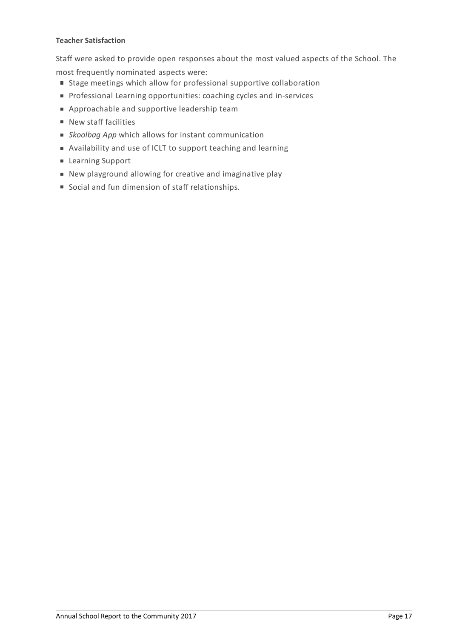## **Teacher Satisfaction**

Staff were asked to provide open responses about the most valued aspects of the School. The most frequently nominated aspects were:

- Stage meetings which allow for professional supportive collaboration
- **Professional Learning opportunities: coaching cycles and in-services**
- Approachable and supportive leadership team
- **New staff facilities**
- *Skoolbag App* which allows for instant communication
- Availability and use of ICLT to support teaching and learning
- Learning Support
- New playground allowing for creative and imaginative play
- Social and fun dimension of staff relationships.